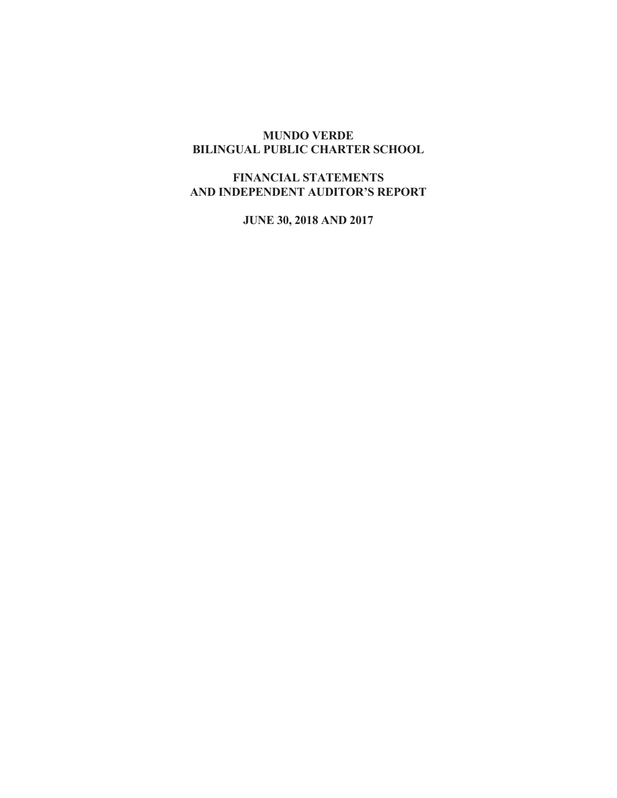# **MUNDO VERDE BILINGUAL PUBLIC CHARTER SCHOOL**

# **FINANCIAL STATEMENTS AND INDEPENDENT AUDITOR'S REPORT**

**JUNE 30, 2018 AND 2017**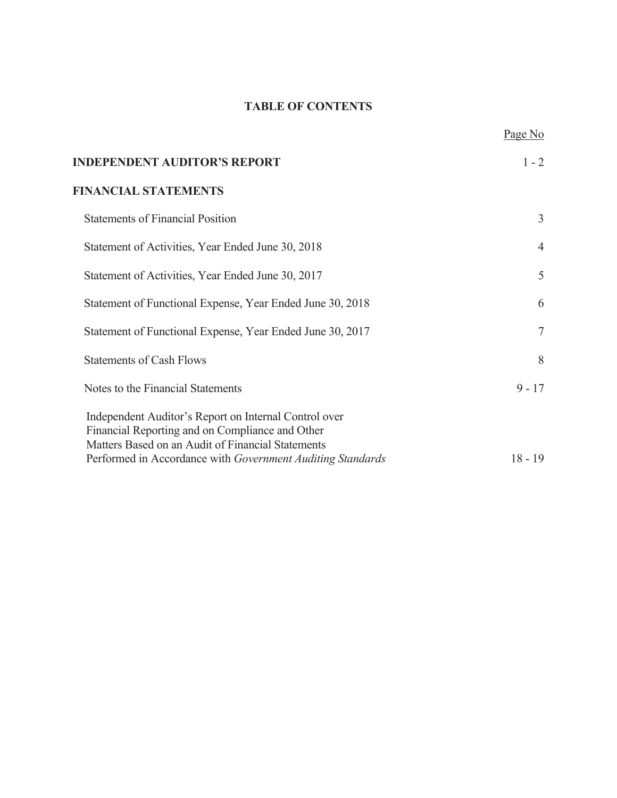# **TABLE OF CONTENTS**

|                                                                                                                                                               | Page No        |
|---------------------------------------------------------------------------------------------------------------------------------------------------------------|----------------|
| <b>INDEPENDENT AUDITOR'S REPORT</b>                                                                                                                           | $1 - 2$        |
| <b>FINANCIAL STATEMENTS</b>                                                                                                                                   |                |
| <b>Statements of Financial Position</b>                                                                                                                       | 3              |
| Statement of Activities, Year Ended June 30, 2018                                                                                                             | $\overline{4}$ |
| Statement of Activities, Year Ended June 30, 2017                                                                                                             | 5              |
| Statement of Functional Expense, Year Ended June 30, 2018                                                                                                     | 6              |
| Statement of Functional Expense, Year Ended June 30, 2017                                                                                                     | $\tau$         |
| <b>Statements of Cash Flows</b>                                                                                                                               | 8              |
| Notes to the Financial Statements                                                                                                                             | $9 - 17$       |
| Independent Auditor's Report on Internal Control over<br>Financial Reporting and on Compliance and Other<br>Matters Based on an Audit of Financial Statements |                |
| Performed in Accordance with Government Auditing Standards                                                                                                    | $18 - 19$      |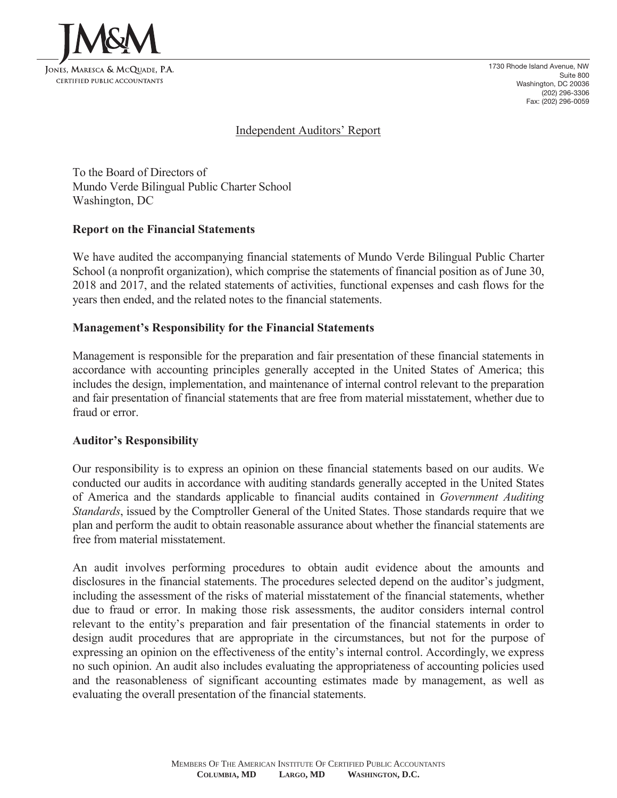

1730 Rhode Island Avenue, NW Suite 800 Washington, DC 20036 (202) 296-3306 Fax: (202) 296-0059

## Independent Auditors' Report

To the Board of Directors of Mundo Verde Bilingual Public Charter School Washington, DC

## **Report on the Financial Statements**

We have audited the accompanying financial statements of Mundo Verde Bilingual Public Charter School (a nonprofit organization), which comprise the statements of financial position as of June 30, 2018 and 2017, and the related statements of activities, functional expenses and cash flows for the years then ended, and the related notes to the financial statements.

## **Management's Responsibility for the Financial Statements**

Management is responsible for the preparation and fair presentation of these financial statements in accordance with accounting principles generally accepted in the United States of America; this includes the design, implementation, and maintenance of internal control relevant to the preparation and fair presentation of financial statements that are free from material misstatement, whether due to fraud or error.

## **Auditor's Responsibility**

Our responsibility is to express an opinion on these financial statements based on our audits. We conducted our audits in accordance with auditing standards generally accepted in the United States of America and the standards applicable to financial audits contained in *Government Auditing Standards*, issued by the Comptroller General of the United States. Those standards require that we plan and perform the audit to obtain reasonable assurance about whether the financial statements are free from material misstatement.

An audit involves performing procedures to obtain audit evidence about the amounts and disclosures in the financial statements. The procedures selected depend on the auditor's judgment, including the assessment of the risks of material misstatement of the financial statements, whether due to fraud or error. In making those risk assessments, the auditor considers internal control relevant to the entity's preparation and fair presentation of the financial statements in order to design audit procedures that are appropriate in the circumstances, but not for the purpose of expressing an opinion on the effectiveness of the entity's internal control. Accordingly, we express no such opinion. An audit also includes evaluating the appropriateness of accounting policies used and the reasonableness of significant accounting estimates made by management, as well as evaluating the overall presentation of the financial statements.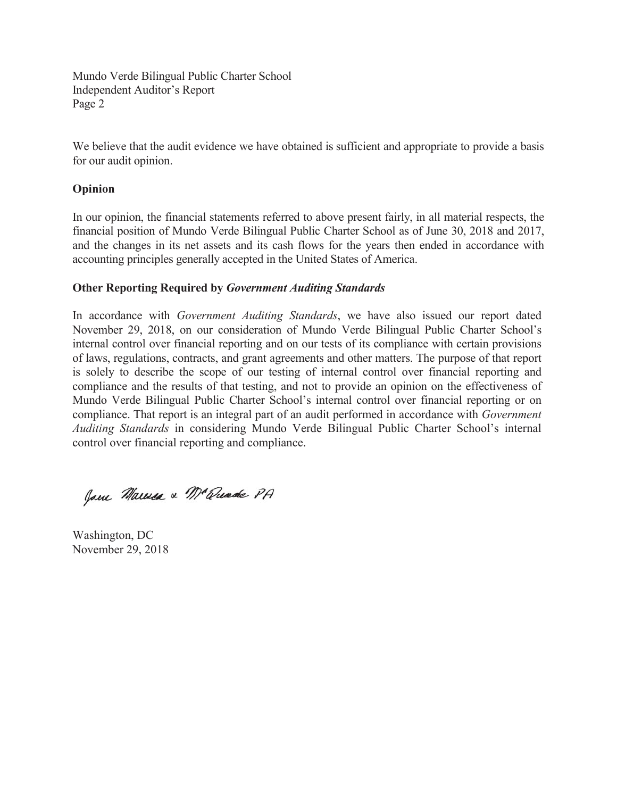Mundo Verde Bilingual Public Charter School Independent Auditor's Report Page 2

We believe that the audit evidence we have obtained is sufficient and appropriate to provide a basis for our audit opinion.

## **Opinion**

In our opinion, the financial statements referred to above present fairly, in all material respects, the financial position of Mundo Verde Bilingual Public Charter School as of June 30, 2018 and 2017, and the changes in its net assets and its cash flows for the years then ended in accordance with accounting principles generally accepted in the United States of America.

## **Other Reporting Required by** *Government Auditing Standards*

In accordance with *Government Auditing Standards*, we have also issued our report dated November 29, 2018, on our consideration of Mundo Verde Bilingual Public Charter School's internal control over financial reporting and on our tests of its compliance with certain provisions of laws, regulations, contracts, and grant agreements and other matters. The purpose of that report is solely to describe the scope of our testing of internal control over financial reporting and compliance and the results of that testing, and not to provide an opinion on the effectiveness of Mundo Verde Bilingual Public Charter School's internal control over financial reporting or on compliance. That report is an integral part of an audit performed in accordance with *Government Auditing Standards* in considering Mundo Verde Bilingual Public Charter School's internal control over financial reporting and compliance.

Jam Marica & Mc Quade PA

Washington, DC November 29, 2018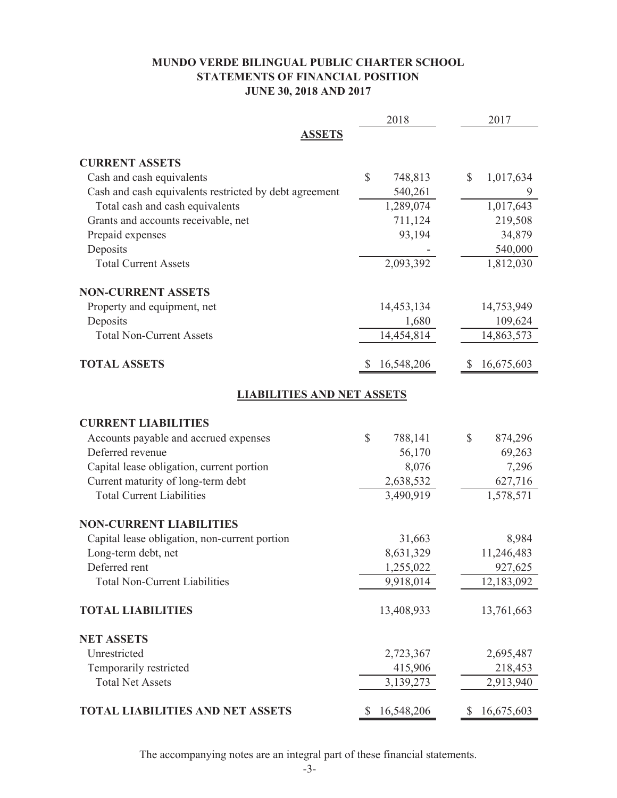# **MUNDO VERDE BILINGUAL PUBLIC CHARTER SCHOOL STATEMENTS OF FINANCIAL POSITION JUNE 30, 2018 AND 2017**

|                                                        | 2018                    | 2017                       |
|--------------------------------------------------------|-------------------------|----------------------------|
| <b>ASSETS</b>                                          |                         |                            |
| <b>CURRENT ASSETS</b>                                  |                         |                            |
| Cash and cash equivalents                              | $\mathbb{S}$<br>748,813 | $\mathcal{S}$<br>1,017,634 |
| Cash and cash equivalents restricted by debt agreement | 540,261                 |                            |
| Total cash and cash equivalents                        | 1,289,074               | 1,017,643                  |
| Grants and accounts receivable, net                    | 711,124                 | 219,508                    |
| Prepaid expenses                                       | 93,194                  | 34,879                     |
| Deposits                                               |                         | 540,000                    |
| <b>Total Current Assets</b>                            | 2,093,392               | 1,812,030                  |
| <b>NON-CURRENT ASSETS</b>                              |                         |                            |
| Property and equipment, net                            | 14,453,134              | 14,753,949                 |
| Deposits                                               | 1,680                   | 109,624                    |
| <b>Total Non-Current Assets</b>                        | 14,454,814              | 14,863,573                 |
| <b>TOTAL ASSETS</b>                                    | 16,548,206              | 16,675,603                 |
| <b>LIABILITIES AND NET ASSETS</b>                      |                         |                            |
| <b>CURRENT LIABILITIES</b>                             |                         |                            |
| Accounts payable and accrued expenses                  | \$<br>788,141           | 874,296<br>$\mathbb{S}$    |
| Deferred revenue                                       | 56,170                  | 69,263                     |
| Capital lease obligation, current portion              | 8,076                   | 7,296                      |
| Current maturity of long-term debt                     | 2,638,532               | 627,716                    |
| <b>Total Current Liabilities</b>                       | 3,490,919               | 1,578,571                  |
| <b>NON-CURRENT LIABILITIES</b>                         |                         |                            |
| Capital lease obligation, non-current portion          | 31,663                  | 8,984                      |
| Long-term debt, net                                    | 8,631,329               | 11,246,483                 |
| Deferred rent                                          | 1,255,022               | 927,625                    |
| <b>Total Non-Current Liabilities</b>                   | 9,918,014               | 12,183,092                 |
| <b>TOTAL LIABILITIES</b>                               | 13,408,933              | 13,761,663                 |
| <b>NET ASSETS</b>                                      |                         |                            |
| Unrestricted                                           | 2,723,367               | 2,695,487                  |
| Temporarily restricted                                 | 415,906                 | 218,453                    |
| <b>Total Net Assets</b>                                | 3,139,273               | 2,913,940                  |
| TOTAL LIABILITIES AND NET ASSETS                       | 16,548,206<br>S.        | 16,675,603<br>$\mathbb{S}$ |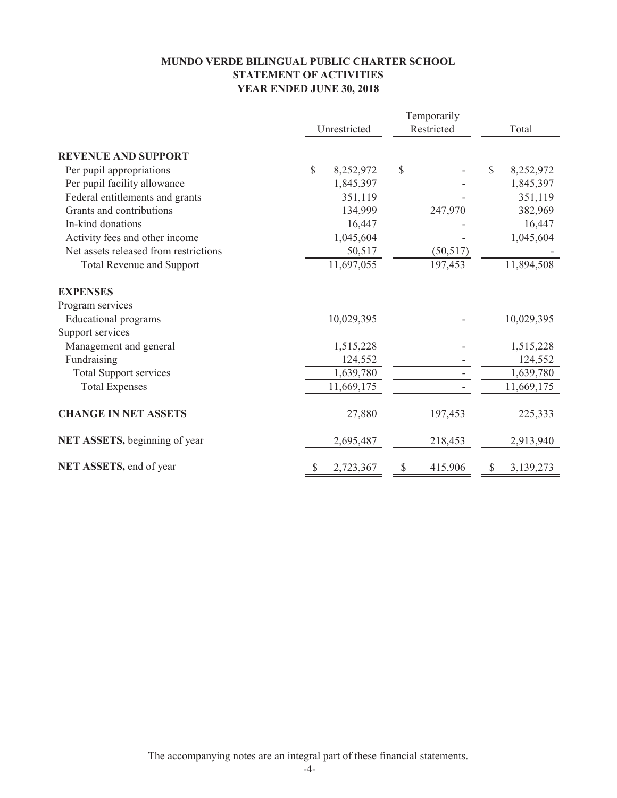## **MUNDO VERDE BILINGUAL PUBLIC CHARTER SCHOOL STATEMENT OF ACTIVITIES YEAR ENDED JUNE 30, 2018**

|                                       | Temporarily  |            |            |           |              |            |
|---------------------------------------|--------------|------------|------------|-----------|--------------|------------|
|                                       | Unrestricted |            | Restricted |           |              | Total      |
| <b>REVENUE AND SUPPORT</b>            |              |            |            |           |              |            |
| Per pupil appropriations              | \$           | 8,252,972  | \$         |           | $\mathbb{S}$ | 8,252,972  |
| Per pupil facility allowance          |              | 1,845,397  |            |           |              | 1,845,397  |
| Federal entitlements and grants       |              | 351,119    |            |           |              | 351,119    |
| Grants and contributions              |              | 134,999    |            | 247,970   |              | 382,969    |
| In-kind donations                     |              | 16,447     |            |           |              | 16,447     |
| Activity fees and other income        |              | 1,045,604  |            |           |              | 1,045,604  |
| Net assets released from restrictions |              | 50,517     |            | (50, 517) |              |            |
| <b>Total Revenue and Support</b>      |              | 11,697,055 |            | 197,453   |              | 11,894,508 |
| <b>EXPENSES</b>                       |              |            |            |           |              |            |
| Program services                      |              |            |            |           |              |            |
| <b>Educational</b> programs           |              | 10,029,395 |            |           |              | 10,029,395 |
| Support services                      |              |            |            |           |              |            |
| Management and general                |              | 1,515,228  |            |           |              | 1,515,228  |
| Fundraising                           |              | 124,552    |            |           |              | 124,552    |
| <b>Total Support services</b>         |              | 1,639,780  |            |           |              | 1,639,780  |
| <b>Total Expenses</b>                 |              | 11,669,175 |            |           |              | 11,669,175 |
| <b>CHANGE IN NET ASSETS</b>           |              | 27,880     |            | 197,453   |              | 225,333    |
| NET ASSETS, beginning of year         |              | 2,695,487  |            | 218,453   |              | 2,913,940  |
| NET ASSETS, end of year               | \$           | 2,723,367  | \$         | 415,906   | S            | 3,139,273  |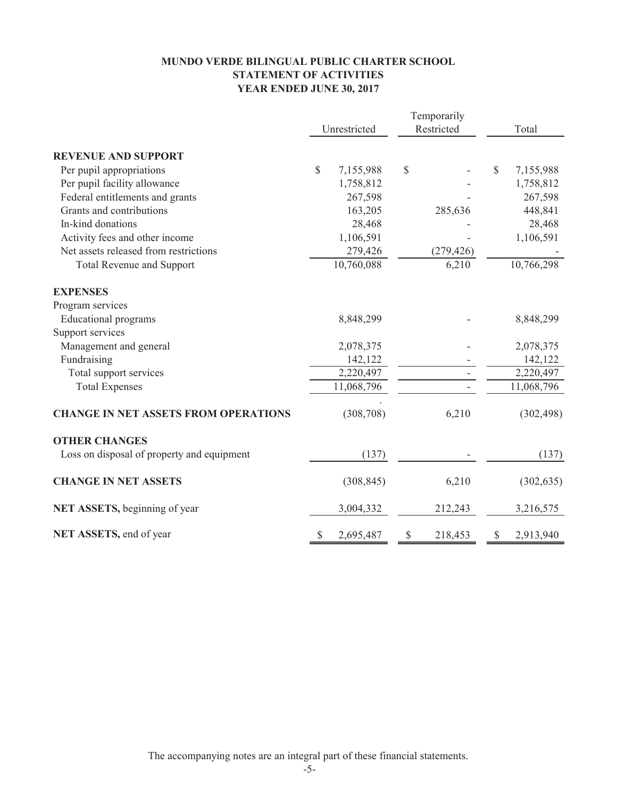## **MUNDO VERDE BILINGUAL PUBLIC CHARTER SCHOOL STATEMENT OF ACTIVITIES YEAR ENDED JUNE 30, 2017**

|                                             | Temporarily |              |    |            |    |            |  |
|---------------------------------------------|-------------|--------------|----|------------|----|------------|--|
|                                             |             | Unrestricted |    | Restricted |    | Total      |  |
| <b>REVENUE AND SUPPORT</b>                  |             |              |    |            |    |            |  |
| Per pupil appropriations                    | \$          | 7,155,988    | \$ |            | \$ | 7,155,988  |  |
| Per pupil facility allowance                |             | 1,758,812    |    |            |    | 1,758,812  |  |
| Federal entitlements and grants             |             | 267,598      |    |            |    | 267,598    |  |
| Grants and contributions                    |             | 163,205      |    | 285,636    |    | 448,841    |  |
| In-kind donations                           |             | 28,468       |    |            |    | 28,468     |  |
| Activity fees and other income              |             | 1,106,591    |    |            |    | 1,106,591  |  |
| Net assets released from restrictions       |             | 279,426      |    | (279, 426) |    |            |  |
| <b>Total Revenue and Support</b>            |             | 10,760,088   |    | 6,210      |    | 10,766,298 |  |
| <b>EXPENSES</b>                             |             |              |    |            |    |            |  |
| Program services                            |             |              |    |            |    |            |  |
| <b>Educational programs</b>                 |             | 8,848,299    |    |            |    | 8,848,299  |  |
| Support services                            |             |              |    |            |    |            |  |
| Management and general                      |             | 2,078,375    |    |            |    | 2,078,375  |  |
| Fundraising                                 |             | 142,122      |    |            |    | 142,122    |  |
| Total support services                      |             | 2,220,497    |    |            |    | 2,220,497  |  |
| <b>Total Expenses</b>                       |             | 11,068,796   |    |            |    | 11,068,796 |  |
| <b>CHANGE IN NET ASSETS FROM OPERATIONS</b> |             | (308, 708)   |    | 6,210      |    | (302, 498) |  |
| <b>OTHER CHANGES</b>                        |             |              |    |            |    |            |  |
| Loss on disposal of property and equipment  |             | (137)        |    |            |    | (137)      |  |
| <b>CHANGE IN NET ASSETS</b>                 |             | (308, 845)   |    | 6,210      |    | (302, 635) |  |
| NET ASSETS, beginning of year               |             | 3,004,332    |    | 212,243    |    | 3,216,575  |  |
| NET ASSETS, end of year                     | S           | 2,695,487    | \$ | 218,453    | S  | 2,913,940  |  |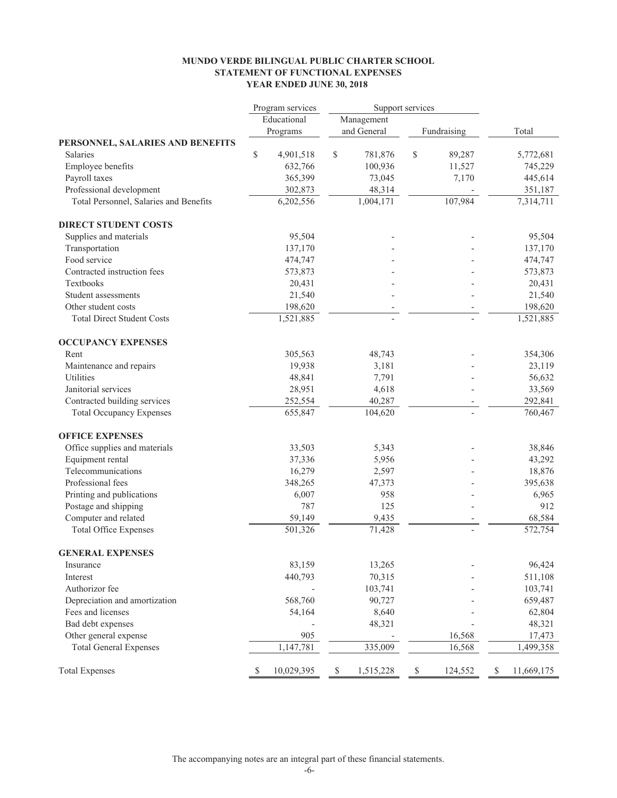#### **YEAR ENDED JUNE 30, 2018 STATEMENT OF FUNCTIONAL EXPENSES MUNDO VERDE BILINGUAL PUBLIC CHARTER SCHOOL**

|                                        | Program services | Support services |             |               |                  |
|----------------------------------------|------------------|------------------|-------------|---------------|------------------|
|                                        | Educational      |                  | Management  |               |                  |
|                                        | Programs         |                  | and General | Fundraising   | Total            |
| PERSONNEL, SALARIES AND BENEFITS       |                  |                  |             |               |                  |
| <b>Salaries</b>                        | \$<br>4,901,518  | \$               | 781,876     | \$<br>89,287  | 5,772,681        |
| Employee benefits                      | 632,766          |                  | 100,936     | 11,527        | 745,229          |
| Payroll taxes                          | 365,399          |                  | 73,045      | 7,170         | 445,614          |
| Professional development               | 302,873          |                  | 48,314      |               | 351,187          |
| Total Personnel, Salaries and Benefits | 6,202,556        |                  | 1,004,171   | 107,984       | 7,314,711        |
| <b>DIRECT STUDENT COSTS</b>            |                  |                  |             |               |                  |
| Supplies and materials                 | 95,504           |                  |             |               | 95,504           |
| Transportation                         | 137,170          |                  |             |               | 137,170          |
| Food service                           | 474,747          |                  |             |               | 474,747          |
| Contracted instruction fees            | 573,873          |                  |             |               | 573,873          |
| Textbooks                              | 20,431           |                  |             |               | 20,431           |
| Student assessments                    | 21,540           |                  |             |               | 21,540           |
| Other student costs                    | 198,620          |                  |             |               | 198,620          |
| <b>Total Direct Student Costs</b>      | 1,521,885        |                  |             |               | 1,521,885        |
| <b>OCCUPANCY EXPENSES</b>              |                  |                  |             |               |                  |
| Rent                                   | 305,563          |                  | 48,743      |               | 354,306          |
| Maintenance and repairs                | 19,938           |                  | 3,181       |               | 23,119           |
| Utilities                              | 48,841           |                  | 7,791       |               | 56,632           |
| Janitorial services                    | 28,951           |                  | 4,618       |               | 33,569           |
| Contracted building services           | 252,554          |                  | 40,287      |               | 292,841          |
| <b>Total Occupancy Expenses</b>        | 655,847          |                  | 104,620     |               | 760,467          |
| <b>OFFICE EXPENSES</b>                 |                  |                  |             |               |                  |
| Office supplies and materials          | 33,503           |                  | 5,343       |               | 38,846           |
| Equipment rental                       | 37,336           |                  | 5,956       |               | 43,292           |
| Telecommunications                     | 16,279           |                  | 2,597       |               | 18,876           |
| Professional fees                      | 348,265          |                  | 47,373      |               | 395,638          |
| Printing and publications              | 6,007            |                  | 958         |               | 6,965            |
| Postage and shipping                   | 787              |                  | 125         |               | 912              |
| Computer and related                   | 59,149           |                  | 9,435       |               | 68,584           |
| <b>Total Office Expenses</b>           | 501,326          |                  | 71,428      |               | 572,754          |
| <b>GENERAL EXPENSES</b>                |                  |                  |             |               |                  |
| Insurance                              | 83,159           |                  | 13,265      |               | 96,424           |
| Interest                               | 440,793          |                  | 70,315      |               | 511,108          |
| Authorizor fee                         |                  |                  | 103,741     |               | 103,741          |
| Depreciation and amortization          | 568,760          |                  | 90,727      |               | 659,487          |
| Fees and licenses                      | 54,164           |                  | 8,640       |               | 62,804           |
| Bad debt expenses                      |                  |                  | 48,321      |               | 48,321           |
| Other general expense                  | 905              |                  |             | 16,568        | 17,473           |
| <b>Total General Expenses</b>          | 1,147,781        |                  | 335,009     | 16,568        | 1,499,358        |
| <b>Total Expenses</b>                  | \$<br>10,029,395 | \$               | 1,515,228   | \$<br>124,552 | \$<br>11,669,175 |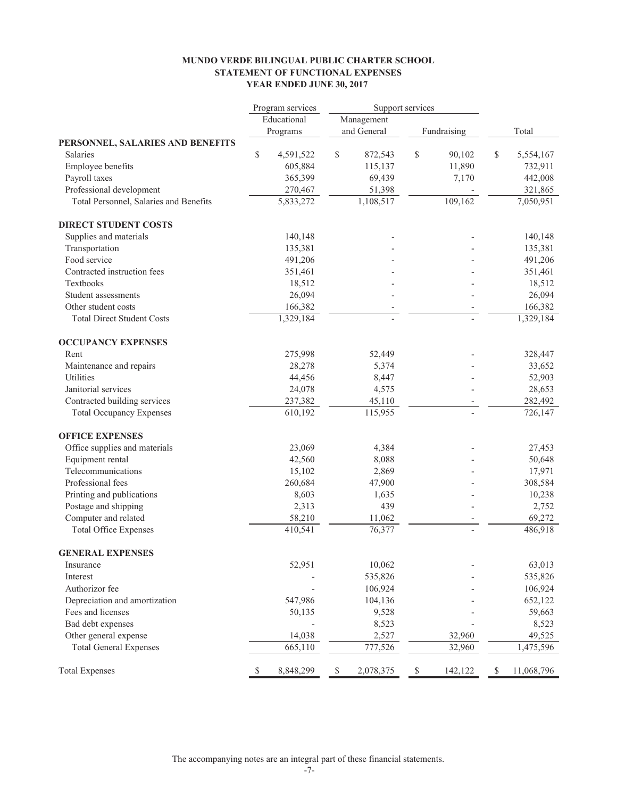#### **MUNDO VERDE BILINGUAL PUBLIC CHARTER SCHOOL STATEMENT OF FUNCTIONAL EXPENSES YEAR ENDED JUNE 30, 2017**

|                                        | Support services<br>Program services |    |             |    |             |                  |  |  |
|----------------------------------------|--------------------------------------|----|-------------|----|-------------|------------------|--|--|
|                                        | Educational                          |    | Management  |    |             |                  |  |  |
|                                        | Programs                             |    | and General |    | Fundraising | Total            |  |  |
| PERSONNEL, SALARIES AND BENEFITS       |                                      |    |             |    |             |                  |  |  |
| <b>Salaries</b>                        | \$<br>4,591,522                      | \$ | 872,543     | \$ | 90,102      | \$<br>5,554,167  |  |  |
| Employee benefits                      | 605,884                              |    | 115,137     |    | 11,890      | 732,911          |  |  |
| Payroll taxes                          | 365,399                              |    | 69,439      |    | 7,170       | 442,008          |  |  |
| Professional development               | 270,467                              |    | 51,398      |    |             | 321,865          |  |  |
| Total Personnel, Salaries and Benefits | 5,833,272                            |    | 1,108,517   |    | 109,162     | 7,050,951        |  |  |
| <b>DIRECT STUDENT COSTS</b>            |                                      |    |             |    |             |                  |  |  |
| Supplies and materials                 | 140,148                              |    |             |    |             | 140,148          |  |  |
| Transportation                         | 135,381                              |    |             |    |             | 135,381          |  |  |
| Food service                           | 491,206                              |    |             |    |             | 491,206          |  |  |
| Contracted instruction fees            | 351,461                              |    |             |    |             | 351,461          |  |  |
| Textbooks                              | 18,512                               |    |             |    |             | 18,512           |  |  |
| Student assessments                    | 26,094                               |    |             |    |             | 26,094           |  |  |
| Other student costs                    | 166,382                              |    |             |    |             | 166,382          |  |  |
| <b>Total Direct Student Costs</b>      | 1,329,184                            |    |             |    |             | 1,329,184        |  |  |
| <b>OCCUPANCY EXPENSES</b>              |                                      |    |             |    |             |                  |  |  |
| Rent                                   | 275,998                              |    | 52,449      |    |             | 328,447          |  |  |
| Maintenance and repairs                | 28,278                               |    | 5,374       |    |             | 33,652           |  |  |
| Utilities                              | 44,456                               |    | 8,447       |    |             | 52,903           |  |  |
| Janitorial services                    | 24,078                               |    | 4,575       |    |             | 28,653           |  |  |
| Contracted building services           | 237,382                              |    | 45,110      |    |             | 282,492          |  |  |
| <b>Total Occupancy Expenses</b>        | 610,192                              |    | 115,955     |    |             | 726,147          |  |  |
| <b>OFFICE EXPENSES</b>                 |                                      |    |             |    |             |                  |  |  |
| Office supplies and materials          | 23,069                               |    | 4,384       |    |             | 27,453           |  |  |
| Equipment rental                       | 42,560                               |    | 8,088       |    |             | 50,648           |  |  |
| Telecommunications                     | 15,102                               |    | 2,869       |    |             | 17,971           |  |  |
| Professional fees                      | 260,684                              |    | 47,900      |    |             | 308,584          |  |  |
| Printing and publications              | 8,603                                |    | 1,635       |    |             | 10,238           |  |  |
| Postage and shipping                   | 2,313                                |    | 439         |    |             | 2,752            |  |  |
| Computer and related                   | 58,210                               |    | 11,062      |    |             | 69,272           |  |  |
| <b>Total Office Expenses</b>           | 410,541                              |    | 76,377      |    |             | 486,918          |  |  |
| <b>GENERAL EXPENSES</b>                |                                      |    |             |    |             |                  |  |  |
| Insurance                              | 52,951                               |    | 10,062      |    |             | 63,013           |  |  |
| Interest                               |                                      |    | 535,826     |    |             | 535,826          |  |  |
| Authorizor fee                         |                                      |    | 106,924     |    |             | 106,924          |  |  |
| Depreciation and amortization          | 547,986                              |    | 104,136     |    |             | 652,122          |  |  |
| Fees and licenses                      | 50,135                               |    | 9,528       |    |             | 59,663           |  |  |
| Bad debt expenses                      |                                      |    | 8,523       |    |             | 8,523            |  |  |
| Other general expense                  | 14,038                               |    | 2,527       |    | 32,960      | 49,525           |  |  |
| <b>Total General Expenses</b>          | 665,110                              |    | 777,526     |    | 32,960      | 1,475,596        |  |  |
| <b>Total Expenses</b>                  | \$<br>8,848,299                      | \$ | 2,078,375   | \$ | 142,122     | \$<br>11,068,796 |  |  |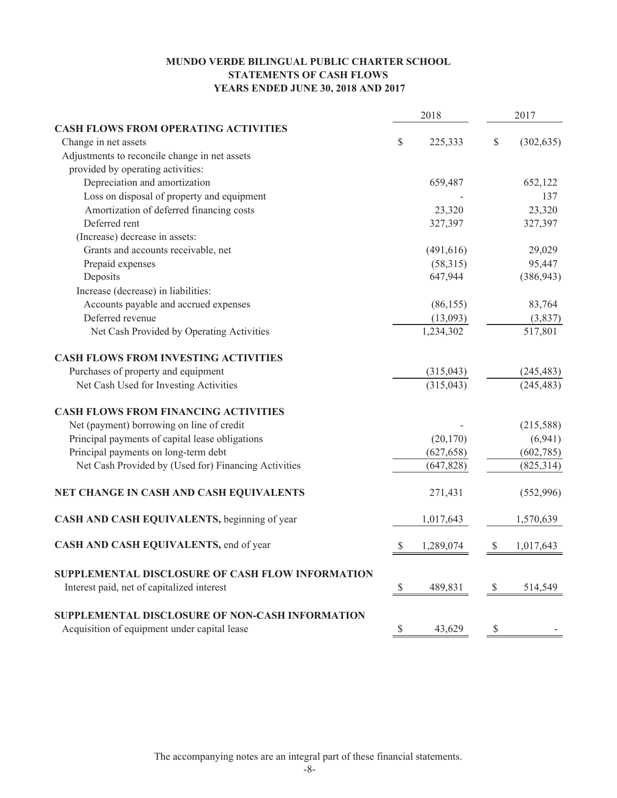## **MUNDO VERDE BILINGUAL PUBLIC CHARTER SCHOOL STATEMENTS OF CASH FLOWS YEARS ENDED JUNE 30, 2018 AND 2017**

|                                                      | 2018         |            | 2017          |            |
|------------------------------------------------------|--------------|------------|---------------|------------|
| <b>CASH FLOWS FROM OPERATING ACTIVITIES</b>          |              |            |               |            |
| Change in net assets                                 | \$           | 225,333    | $\mathbb{S}$  | (302, 635) |
| Adjustments to reconcile change in net assets        |              |            |               |            |
| provided by operating activities:                    |              |            |               |            |
| Depreciation and amortization                        |              | 659,487    |               | 652,122    |
| Loss on disposal of property and equipment           |              |            |               | 137        |
| Amortization of deferred financing costs             |              | 23,320     |               | 23,320     |
| Deferred rent                                        |              | 327,397    |               | 327,397    |
| (Increase) decrease in assets:                       |              |            |               |            |
| Grants and accounts receivable, net                  |              | (491, 616) |               | 29,029     |
| Prepaid expenses                                     |              | (58,315)   |               | 95,447     |
| Deposits                                             |              | 647,944    |               | (386, 943) |
| Increase (decrease) in liabilities:                  |              |            |               |            |
| Accounts payable and accrued expenses                |              | (86, 155)  |               | 83,764     |
| Deferred revenue                                     |              | (13,093)   |               | (3,837)    |
| Net Cash Provided by Operating Activities            |              | 1,234,302  |               | 517,801    |
| <b>CASH FLOWS FROM INVESTING ACTIVITIES</b>          |              |            |               |            |
| Purchases of property and equipment                  |              | (315,043)  |               | (245, 483) |
| Net Cash Used for Investing Activities               |              | (315, 043) |               | (245, 483) |
| <b>CASH FLOWS FROM FINANCING ACTIVITIES</b>          |              |            |               |            |
| Net (payment) borrowing on line of credit            |              |            |               | (215,588)  |
| Principal payments of capital lease obligations      |              | (20, 170)  |               | (6,941)    |
| Principal payments on long-term debt                 |              | (627, 658) |               | (602, 785) |
| Net Cash Provided by (Used for) Financing Activities |              | (647, 828) |               | (825, 314) |
| NET CHANGE IN CASH AND CASH EQUIVALENTS              |              | 271,431    |               | (552,996)  |
| CASH AND CASH EQUIVALENTS, beginning of year         |              | 1,017,643  |               | 1,570,639  |
| CASH AND CASH EQUIVALENTS, end of year               | $\mathbb{S}$ | 1,289,074  | $\mathbb{S}$  | 1,017,643  |
| SUPPLEMENTAL DISCLOSURE OF CASH FLOW INFORMATION     |              |            |               |            |
| Interest paid, net of capitalized interest           | $\mathbb{S}$ | 489,831    | $\mathcal{S}$ | 514,549    |
| SUPPLEMENTAL DISCLOSURE OF NON-CASH INFORMATION      |              |            |               |            |
| Acquisition of equipment under capital lease         | \$           | 43,629     | $\mathbb{S}$  |            |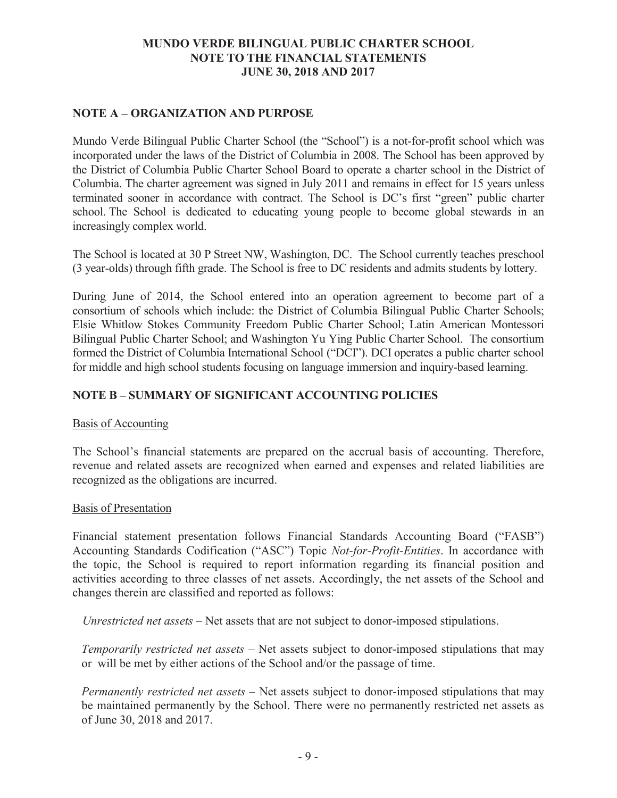# **NOTE A – ORGANIZATION AND PURPOSE**

Mundo Verde Bilingual Public Charter School (the "School") is a not-for-profit school which was incorporated under the laws of the District of Columbia in 2008. The School has been approved by the District of Columbia Public Charter School Board to operate a charter school in the District of Columbia. The charter agreement was signed in July 2011 and remains in effect for 15 years unless terminated sooner in accordance with contract. The School is DC's first "green" public charter school. The School is dedicated to educating young people to become global stewards in an increasingly complex world.

The School is located at 30 P Street NW, Washington, DC. The School currently teaches preschool (3 year-olds) through fifth grade. The School is free to DC residents and admits students by lottery.

During June of 2014, the School entered into an operation agreement to become part of a consortium of schools which include: the District of Columbia Bilingual Public Charter Schools; Elsie Whitlow Stokes Community Freedom Public Charter School; Latin American Montessori Bilingual Public Charter School; and Washington Yu Ying Public Charter School. The consortium formed the District of Columbia International School ("DCI"). DCI operates a public charter school for middle and high school students focusing on language immersion and inquiry-based learning.

# **NOTE B – SUMMARY OF SIGNIFICANT ACCOUNTING POLICIES**

## Basis of Accounting

The School's financial statements are prepared on the accrual basis of accounting. Therefore, revenue and related assets are recognized when earned and expenses and related liabilities are recognized as the obligations are incurred.

## Basis of Presentation

Financial statement presentation follows Financial Standards Accounting Board ("FASB") Accounting Standards Codification ("ASC") Topic *Not-for-Profit-Entities*. In accordance with the topic, the School is required to report information regarding its financial position and activities according to three classes of net assets. Accordingly, the net assets of the School and changes therein are classified and reported as follows:

*Unrestricted net assets* – Net assets that are not subject to donor-imposed stipulations.

*Temporarily restricted net assets* – Net assets subject to donor-imposed stipulations that may or will be met by either actions of the School and/or the passage of time.

*Permanently restricted net assets –* Net assets subject to donor-imposed stipulations that may be maintained permanently by the School. There were no permanently restricted net assets as of June 30, 2018 and 2017.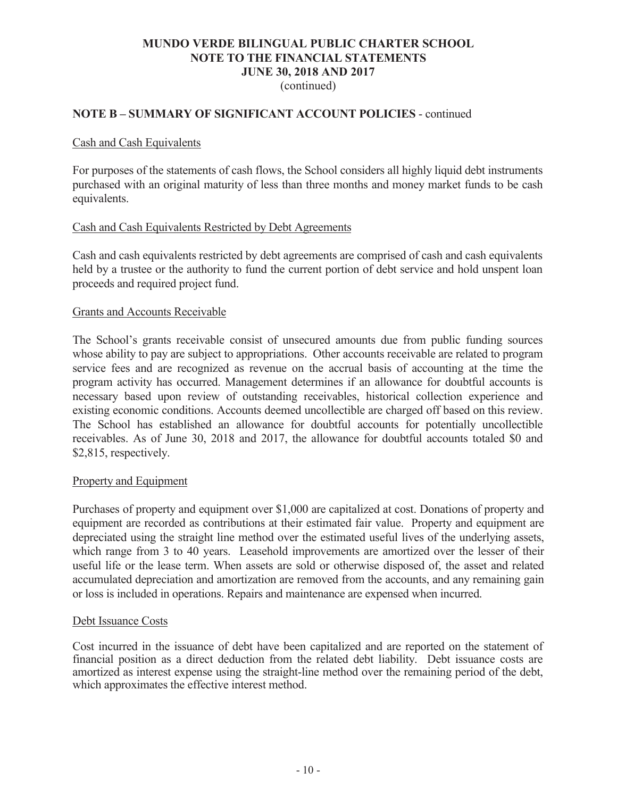## (continued)

### **NOTE B – SUMMARY OF SIGNIFICANT ACCOUNT POLICIES** - continued

### Cash and Cash Equivalents

For purposes of the statements of cash flows, the School considers all highly liquid debt instruments purchased with an original maturity of less than three months and money market funds to be cash equivalents.

### Cash and Cash Equivalents Restricted by Debt Agreements

Cash and cash equivalents restricted by debt agreements are comprised of cash and cash equivalents held by a trustee or the authority to fund the current portion of debt service and hold unspent loan proceeds and required project fund.

### Grants and Accounts Receivable

The School's grants receivable consist of unsecured amounts due from public funding sources whose ability to pay are subject to appropriations. Other accounts receivable are related to program service fees and are recognized as revenue on the accrual basis of accounting at the time the program activity has occurred. Management determines if an allowance for doubtful accounts is necessary based upon review of outstanding receivables, historical collection experience and existing economic conditions. Accounts deemed uncollectible are charged off based on this review. The School has established an allowance for doubtful accounts for potentially uncollectible receivables. As of June 30, 2018 and 2017, the allowance for doubtful accounts totaled \$0 and \$2,815, respectively.

### Property and Equipment

Purchases of property and equipment over \$1,000 are capitalized at cost. Donations of property and equipment are recorded as contributions at their estimated fair value. Property and equipment are depreciated using the straight line method over the estimated useful lives of the underlying assets, which range from 3 to 40 years. Leasehold improvements are amortized over the lesser of their useful life or the lease term. When assets are sold or otherwise disposed of, the asset and related accumulated depreciation and amortization are removed from the accounts, and any remaining gain or loss is included in operations. Repairs and maintenance are expensed when incurred.

### Debt Issuance Costs

Cost incurred in the issuance of debt have been capitalized and are reported on the statement of financial position as a direct deduction from the related debt liability. Debt issuance costs are amortized as interest expense using the straight-line method over the remaining period of the debt, which approximates the effective interest method.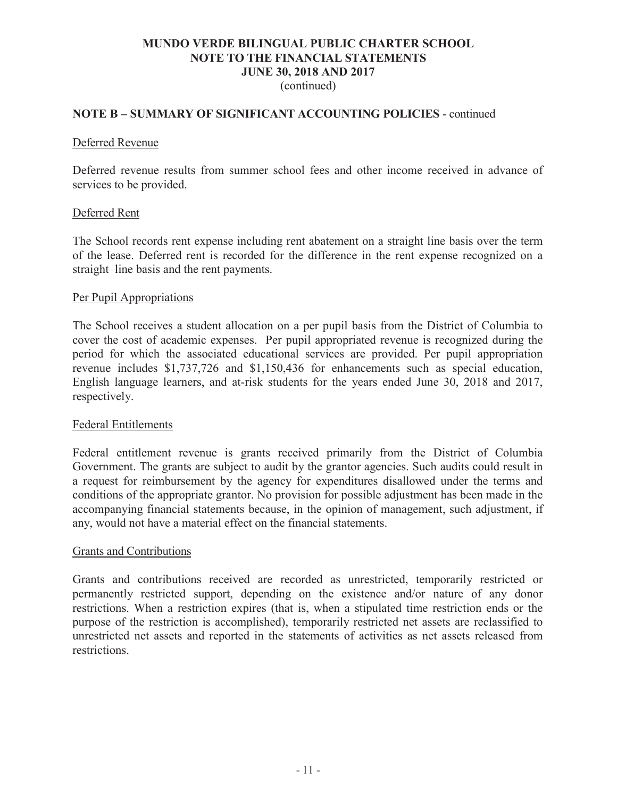## (continued)

### **NOTE B – SUMMARY OF SIGNIFICANT ACCOUNTING POLICIES** - continued

### Deferred Revenue

Deferred revenue results from summer school fees and other income received in advance of services to be provided.

### Deferred Rent

The School records rent expense including rent abatement on a straight line basis over the term of the lease. Deferred rent is recorded for the difference in the rent expense recognized on a straight–line basis and the rent payments.

### Per Pupil Appropriations

The School receives a student allocation on a per pupil basis from the District of Columbia to cover the cost of academic expenses. Per pupil appropriated revenue is recognized during the period for which the associated educational services are provided. Per pupil appropriation revenue includes \$1,737,726 and \$1,150,436 for enhancements such as special education, English language learners, and at-risk students for the years ended June 30, 2018 and 2017, respectively.

### Federal Entitlements

Federal entitlement revenue is grants received primarily from the District of Columbia Government. The grants are subject to audit by the grantor agencies. Such audits could result in a request for reimbursement by the agency for expenditures disallowed under the terms and conditions of the appropriate grantor. No provision for possible adjustment has been made in the accompanying financial statements because, in the opinion of management, such adjustment, if any, would not have a material effect on the financial statements.

### Grants and Contributions

Grants and contributions received are recorded as unrestricted, temporarily restricted or permanently restricted support, depending on the existence and/or nature of any donor restrictions. When a restriction expires (that is, when a stipulated time restriction ends or the purpose of the restriction is accomplished), temporarily restricted net assets are reclassified to unrestricted net assets and reported in the statements of activities as net assets released from restrictions.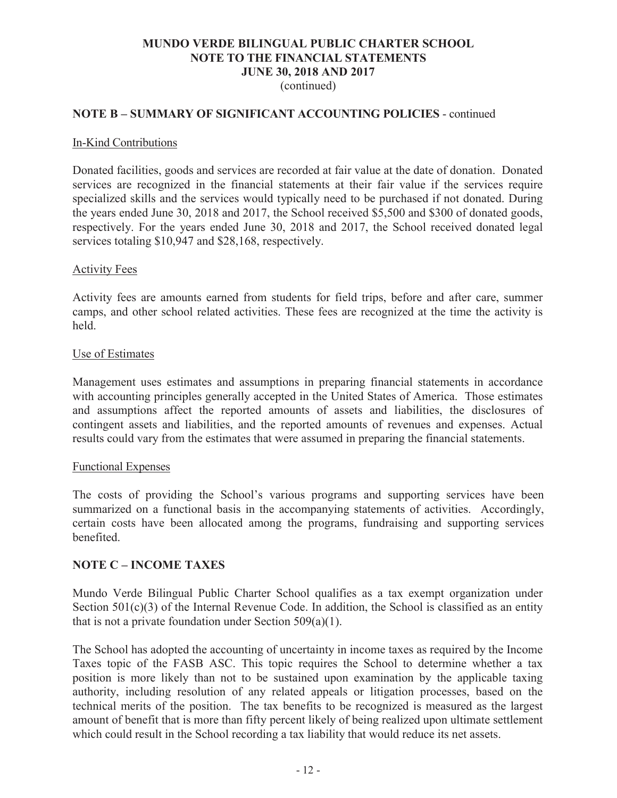(continued)

## **NOTE B – SUMMARY OF SIGNIFICANT ACCOUNTING POLICIES** - continued

### In-Kind Contributions

Donated facilities, goods and services are recorded at fair value at the date of donation. Donated services are recognized in the financial statements at their fair value if the services require specialized skills and the services would typically need to be purchased if not donated. During the years ended June 30, 2018 and 2017, the School received \$5,500 and \$300 of donated goods, respectively. For the years ended June 30, 2018 and 2017, the School received donated legal services totaling \$10,947 and \$28,168, respectively.

### Activity Fees

Activity fees are amounts earned from students for field trips, before and after care, summer camps, and other school related activities. These fees are recognized at the time the activity is held.

#### Use of Estimates

Management uses estimates and assumptions in preparing financial statements in accordance with accounting principles generally accepted in the United States of America. Those estimates and assumptions affect the reported amounts of assets and liabilities, the disclosures of contingent assets and liabilities, and the reported amounts of revenues and expenses. Actual results could vary from the estimates that were assumed in preparing the financial statements.

### Functional Expenses

The costs of providing the School's various programs and supporting services have been summarized on a functional basis in the accompanying statements of activities. Accordingly, certain costs have been allocated among the programs, fundraising and supporting services benefited.

### **NOTE C – INCOME TAXES**

Mundo Verde Bilingual Public Charter School qualifies as a tax exempt organization under Section 501(c)(3) of the Internal Revenue Code. In addition, the School is classified as an entity that is not a private foundation under Section  $509(a)(1)$ .

The School has adopted the accounting of uncertainty in income taxes as required by the Income Taxes topic of the FASB ASC. This topic requires the School to determine whether a tax position is more likely than not to be sustained upon examination by the applicable taxing authority, including resolution of any related appeals or litigation processes, based on the technical merits of the position. The tax benefits to be recognized is measured as the largest amount of benefit that is more than fifty percent likely of being realized upon ultimate settlement which could result in the School recording a tax liability that would reduce its net assets.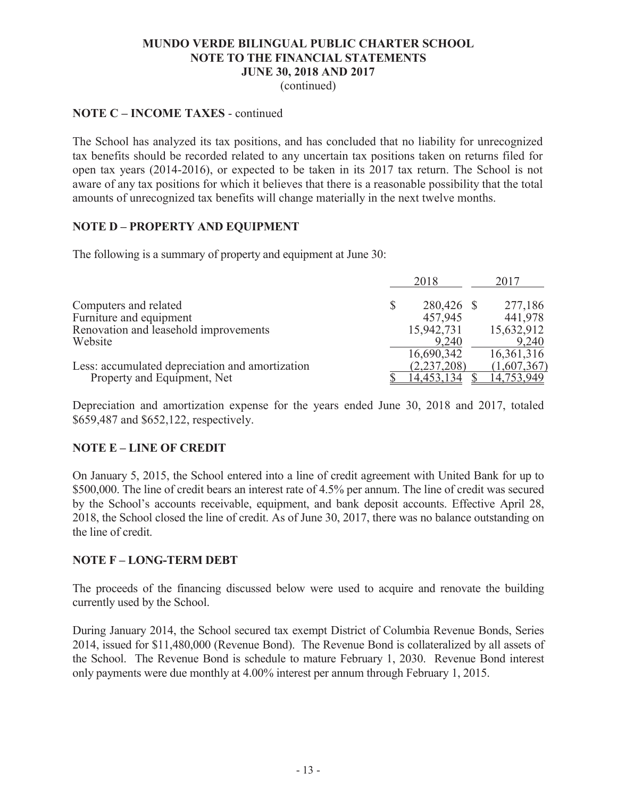(continued)

### **NOTE C – INCOME TAXES** - continued

The School has analyzed its tax positions, and has concluded that no liability for unrecognized tax benefits should be recorded related to any uncertain tax positions taken on returns filed for open tax years (2014-2016), or expected to be taken in its 2017 tax return. The School is not aware of any tax positions for which it believes that there is a reasonable possibility that the total amounts of unrecognized tax benefits will change materially in the next twelve months.

## **NOTE D – PROPERTY AND EQUIPMENT**

The following is a summary of property and equipment at June 30:

|                                                 | 2018             | 2017         |
|-------------------------------------------------|------------------|--------------|
| Computers and related                           | \$<br>280,426 \$ | 277,186      |
| Furniture and equipment                         | 457,945          | 441,978      |
| Renovation and leasehold improvements           | 15,942,731       | 15,632,912   |
| Website                                         | 9,240            | 9,240        |
|                                                 | 16,690,342       | 16, 361, 316 |
| Less: accumulated depreciation and amortization | (2, 237, 208)    | (1,607,367)  |
| Property and Equipment, Net                     | 14,453.134       | 14,753,949   |

Depreciation and amortization expense for the years ended June 30, 2018 and 2017, totaled \$659,487 and \$652,122, respectively.

## **NOTE E – LINE OF CREDIT**

On January 5, 2015, the School entered into a line of credit agreement with United Bank for up to \$500,000. The line of credit bears an interest rate of 4.5% per annum. The line of credit was secured by the School's accounts receivable, equipment, and bank deposit accounts. Effective April 28, 2018, the School closed the line of credit. As of June 30, 2017, there was no balance outstanding on the line of credit.

## **NOTE F – LONG-TERM DEBT**

The proceeds of the financing discussed below were used to acquire and renovate the building currently used by the School.

During January 2014, the School secured tax exempt District of Columbia Revenue Bonds, Series 2014, issued for \$11,480,000 (Revenue Bond). The Revenue Bond is collateralized by all assets of the School. The Revenue Bond is schedule to mature February 1, 2030. Revenue Bond interest only payments were due monthly at 4.00% interest per annum through February 1, 2015.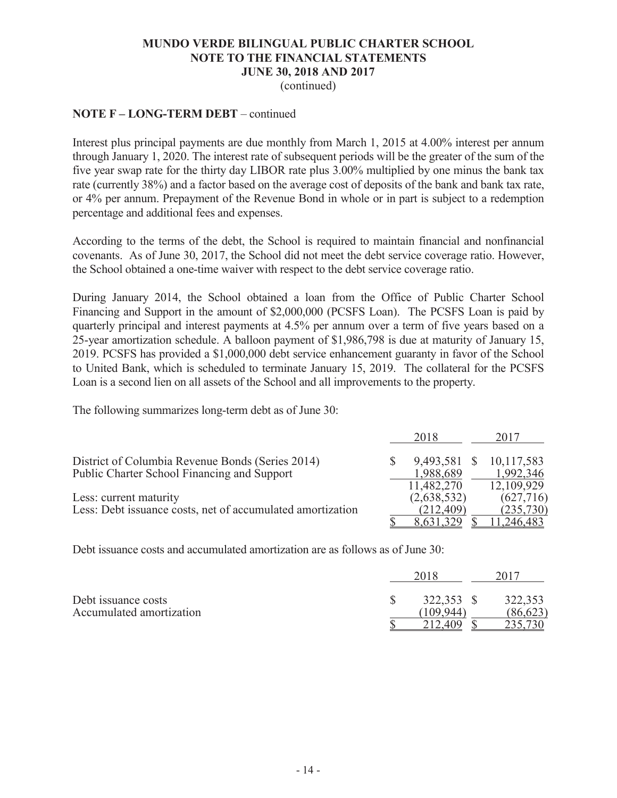(continued)

## **NOTE F – LONG-TERM DEBT** – continued

Interest plus principal payments are due monthly from March 1, 2015 at 4.00% interest per annum through January 1, 2020. The interest rate of subsequent periods will be the greater of the sum of the five year swap rate for the thirty day LIBOR rate plus 3.00% multiplied by one minus the bank tax rate (currently 38%) and a factor based on the average cost of deposits of the bank and bank tax rate, or 4% per annum. Prepayment of the Revenue Bond in whole or in part is subject to a redemption percentage and additional fees and expenses.

According to the terms of the debt, the School is required to maintain financial and nonfinancial covenants. As of June 30, 2017, the School did not meet the debt service coverage ratio. However, the School obtained a one-time waiver with respect to the debt service coverage ratio.

During January 2014, the School obtained a loan from the Office of Public Charter School Financing and Support in the amount of \$2,000,000 (PCSFS Loan). The PCSFS Loan is paid by quarterly principal and interest payments at 4.5% per annum over a term of five years based on a 25-year amortization schedule. A balloon payment of \$1,986,798 is due at maturity of January 15, 2019. PCSFS has provided a \$1,000,000 debt service enhancement guaranty in favor of the School to United Bank, which is scheduled to terminate January 15, 2019. The collateral for the PCSFS Loan is a second lien on all assets of the School and all improvements to the property.

The following summarizes long-term debt as of June 30:

|                                                            | 2018        |   | 2017       |
|------------------------------------------------------------|-------------|---|------------|
| District of Columbia Revenue Bonds (Series 2014)           | 9,493,581   | S | 10,117,583 |
| Public Charter School Financing and Support                | 1,988,689   |   | 1,992,346  |
|                                                            | 11,482,270  |   | 12,109,929 |
| Less: current maturity                                     | (2,638,532) |   | (627, 716) |
| Less: Debt issuance costs, net of accumulated amortization | (212, 409)  |   | (235, 730) |
|                                                            | 8,631,329   |   | ,246,483   |

Debt issuance costs and accumulated amortization are as follows as of June 30:

|                                                 | 2018                 |                      |
|-------------------------------------------------|----------------------|----------------------|
| Debt issuance costs<br>Accumulated amortization | 322,353 \$<br>109944 | 322,353<br>(86, 623) |
|                                                 |                      |                      |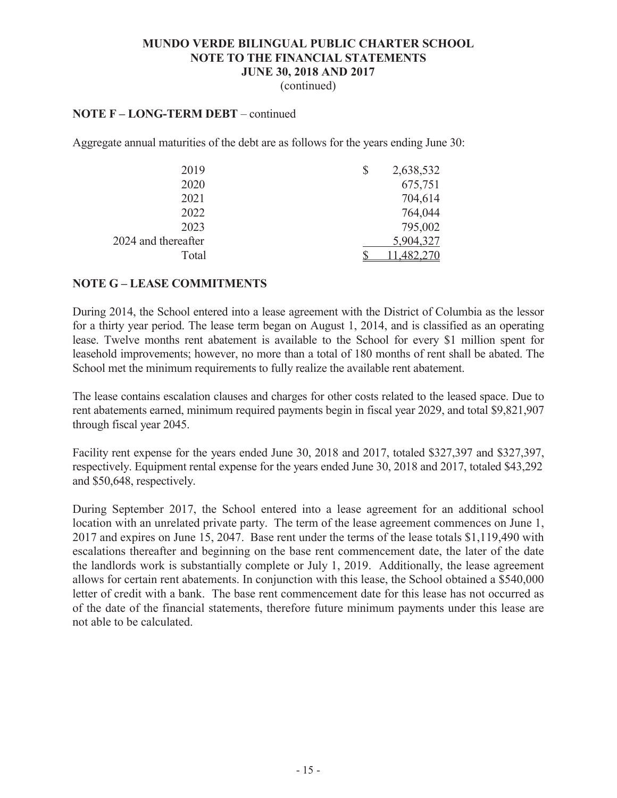(continued)

### **NOTE F – LONG-TERM DEBT** – continued

Aggregate annual maturities of the debt are as follows for the years ending June 30:

| 2019                | \$<br>2,638,532 |
|---------------------|-----------------|
| 2020                | 675,751         |
| 2021                | 704,614         |
| 2022                | 764,044         |
| 2023                | 795,002         |
| 2024 and thereafter | 5,904,327       |
| Total               |                 |

### **NOTE G – LEASE COMMITMENTS**

During 2014, the School entered into a lease agreement with the District of Columbia as the lessor for a thirty year period. The lease term began on August 1, 2014, and is classified as an operating lease. Twelve months rent abatement is available to the School for every \$1 million spent for leasehold improvements; however, no more than a total of 180 months of rent shall be abated. The School met the minimum requirements to fully realize the available rent abatement.

The lease contains escalation clauses and charges for other costs related to the leased space. Due to rent abatements earned, minimum required payments begin in fiscal year 2029, and total \$9,821,907 through fiscal year 2045.

Facility rent expense for the years ended June 30, 2018 and 2017, totaled \$327,397 and \$327,397, respectively. Equipment rental expense for the years ended June 30, 2018 and 2017, totaled \$43,292 and \$50,648, respectively.

During September 2017, the School entered into a lease agreement for an additional school location with an unrelated private party. The term of the lease agreement commences on June 1, 2017 and expires on June 15, 2047. Base rent under the terms of the lease totals \$1,119,490 with escalations thereafter and beginning on the base rent commencement date, the later of the date the landlords work is substantially complete or July 1, 2019. Additionally, the lease agreement allows for certain rent abatements. In conjunction with this lease, the School obtained a \$540,000 letter of credit with a bank. The base rent commencement date for this lease has not occurred as of the date of the financial statements, therefore future minimum payments under this lease are not able to be calculated.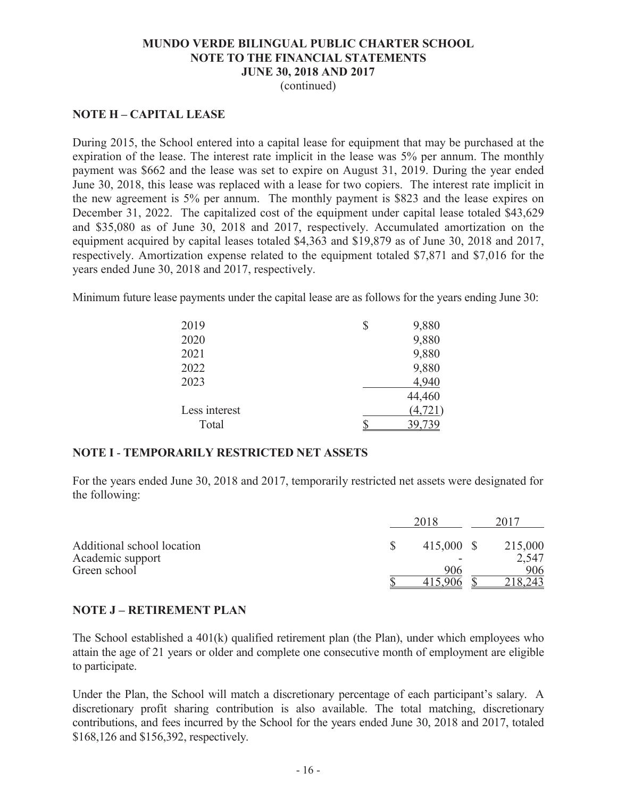### (continued)

## **NOTE H – CAPITAL LEASE**

During 2015, the School entered into a capital lease for equipment that may be purchased at the expiration of the lease. The interest rate implicit in the lease was 5% per annum. The monthly payment was \$662 and the lease was set to expire on August 31, 2019. During the year ended June 30, 2018, this lease was replaced with a lease for two copiers. The interest rate implicit in the new agreement is 5% per annum. The monthly payment is \$823 and the lease expires on December 31, 2022. The capitalized cost of the equipment under capital lease totaled \$43,629 and \$35,080 as of June 30, 2018 and 2017, respectively. Accumulated amortization on the equipment acquired by capital leases totaled \$4,363 and \$19,879 as of June 30, 2018 and 2017, respectively. Amortization expense related to the equipment totaled \$7,871 and \$7,016 for the years ended June 30, 2018 and 2017, respectively.

Minimum future lease payments under the capital lease are as follows for the years ending June 30:

| 2019          | \$<br>9,880 |
|---------------|-------------|
| 2020          | 9,880       |
| 2021          | 9,880       |
| 2022          | 9,880       |
| 2023          | 4,940       |
|               | 44,460      |
| Less interest | (4, 721)    |
| Total         |             |

## **NOTE I** - **TEMPORARILY RESTRICTED NET ASSETS**

For the years ended June 30, 2018 and 2017, temporarily restricted net assets were designated for the following:

|                            | 2018       | 2017    |
|----------------------------|------------|---------|
| Additional school location | 415,000 \$ | 215,000 |
| Academic support           |            | 2,547   |
| Green school               | 906        | 906     |
|                            |            |         |

## **NOTE J – RETIREMENT PLAN**

The School established a 401(k) qualified retirement plan (the Plan), under which employees who attain the age of 21 years or older and complete one consecutive month of employment are eligible to participate.

Under the Plan, the School will match a discretionary percentage of each participant's salary. A discretionary profit sharing contribution is also available. The total matching, discretionary contributions, and fees incurred by the School for the years ended June 30, 2018 and 2017, totaled \$168,126 and \$156,392, respectively.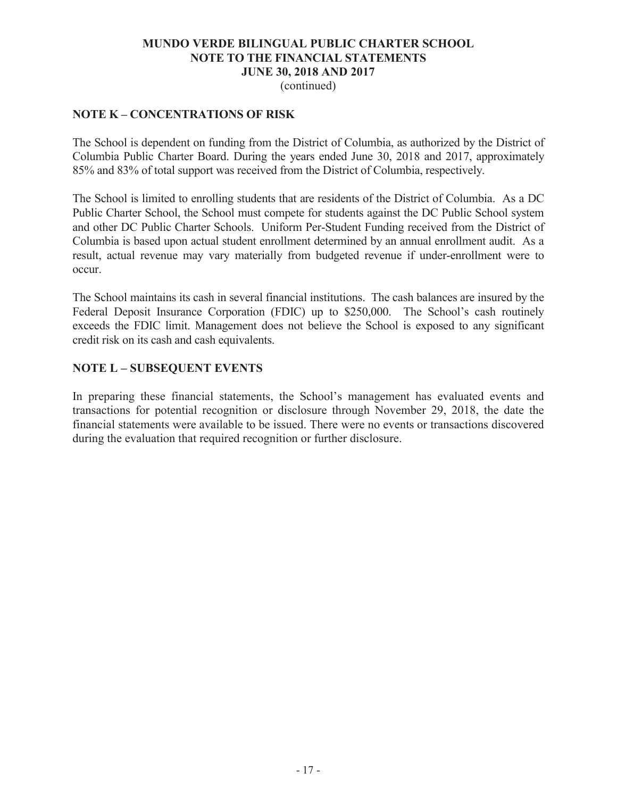(continued)

## **NOTE K – CONCENTRATIONS OF RISK**

The School is dependent on funding from the District of Columbia, as authorized by the District of Columbia Public Charter Board. During the years ended June 30, 2018 and 2017, approximately 85% and 83% of total support was received from the District of Columbia, respectively.

The School is limited to enrolling students that are residents of the District of Columbia. As a DC Public Charter School, the School must compete for students against the DC Public School system and other DC Public Charter Schools. Uniform Per-Student Funding received from the District of Columbia is based upon actual student enrollment determined by an annual enrollment audit. As a result, actual revenue may vary materially from budgeted revenue if under-enrollment were to occur.

The School maintains its cash in several financial institutions. The cash balances are insured by the Federal Deposit Insurance Corporation (FDIC) up to \$250,000. The School's cash routinely exceeds the FDIC limit. Management does not believe the School is exposed to any significant credit risk on its cash and cash equivalents.

## **NOTE L – SUBSEQUENT EVENTS**

In preparing these financial statements, the School's management has evaluated events and transactions for potential recognition or disclosure through November 29, 2018, the date the financial statements were available to be issued. There were no events or transactions discovered during the evaluation that required recognition or further disclosure.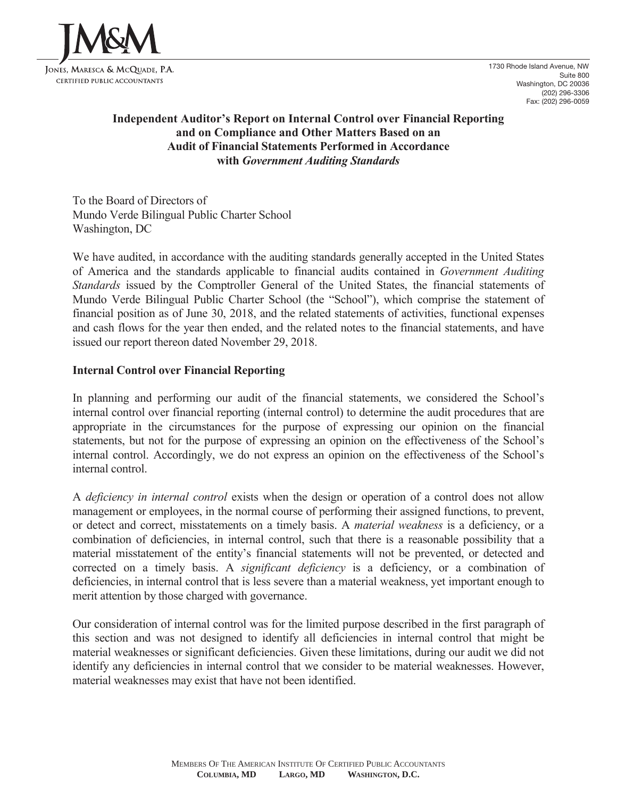

1730 Rhode Island Avenue, NW Suite 800 Washington, DC 20036 (202) 296-3306 Fax: (202) 296-0059

# **Independent Auditor's Report on Internal Control over Financial Reporting and on Compliance and Other Matters Based on an Audit of Financial Statements Performed in Accordance with** *Government Auditing Standards*

To the Board of Directors of Mundo Verde Bilingual Public Charter School Washington, DC

We have audited, in accordance with the auditing standards generally accepted in the United States of America and the standards applicable to financial audits contained in *Government Auditing Standards* issued by the Comptroller General of the United States, the financial statements of Mundo Verde Bilingual Public Charter School (the "School"), which comprise the statement of financial position as of June 30, 2018, and the related statements of activities, functional expenses and cash flows for the year then ended, and the related notes to the financial statements, and have issued our report thereon dated November 29, 2018.

## **Internal Control over Financial Reporting**

In planning and performing our audit of the financial statements, we considered the School's internal control over financial reporting (internal control) to determine the audit procedures that are appropriate in the circumstances for the purpose of expressing our opinion on the financial statements, but not for the purpose of expressing an opinion on the effectiveness of the School's internal control. Accordingly, we do not express an opinion on the effectiveness of the School's internal control.

A *deficiency in internal control* exists when the design or operation of a control does not allow management or employees, in the normal course of performing their assigned functions, to prevent, or detect and correct, misstatements on a timely basis. A *material weakness* is a deficiency, or a combination of deficiencies, in internal control, such that there is a reasonable possibility that a material misstatement of the entity's financial statements will not be prevented, or detected and corrected on a timely basis. A *significant deficiency* is a deficiency, or a combination of deficiencies, in internal control that is less severe than a material weakness, yet important enough to merit attention by those charged with governance.

Our consideration of internal control was for the limited purpose described in the first paragraph of this section and was not designed to identify all deficiencies in internal control that might be material weaknesses or significant deficiencies. Given these limitations, during our audit we did not identify any deficiencies in internal control that we consider to be material weaknesses. However, material weaknesses may exist that have not been identified.